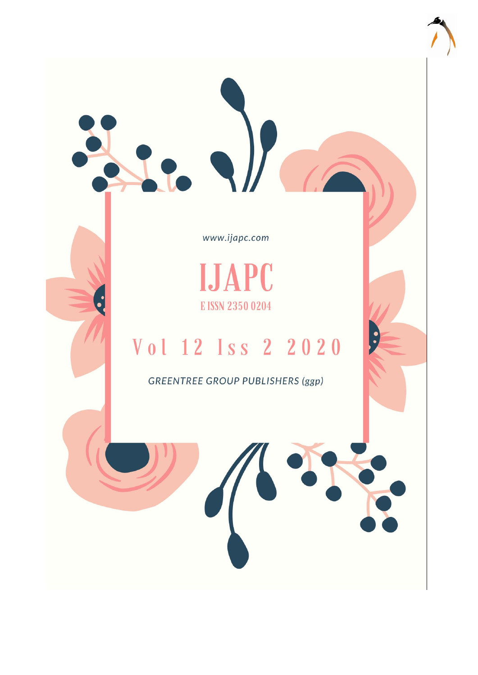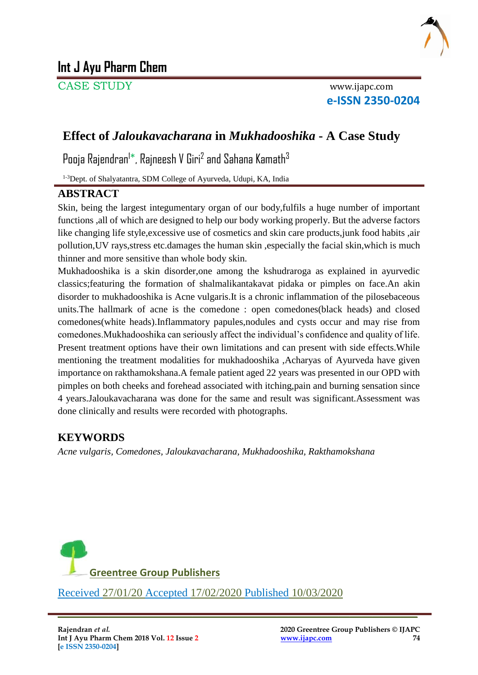

# **Int J Ayu Pharm Chem**

CASE STUDY www.ijapc.com

**e-ISSN 2350-0204**

## **Effect of** *Jaloukavacharana* **in** *Mukhadooshika* **- A Case Study**

Pooja Rajendran<sup>i\*</sup>, Rajneesh V Giri<sup>2</sup> and Sahana Kamath<sup>3</sup>

1-3Dept. of Shalyatantra, SDM College of Ayurveda, Udupi, KA, India

### **ABSTRACT**

Skin, being the largest integumentary organ of our body,fulfils a huge number of important functions ,all of which are designed to help our body working properly. But the adverse factors like changing life style,excessive use of cosmetics and skin care products,junk food habits ,air pollution,UV rays,stress etc.damages the human skin ,especially the facial skin,which is much thinner and more sensitive than whole body skin.

Mukhadooshika is a skin disorder,one among the kshudraroga as explained in ayurvedic classics;featuring the formation of shalmalikantakavat pidaka or pimples on face.An akin disorder to mukhadooshika is Acne vulgaris.It is a chronic inflammation of the pilosebaceous units.The hallmark of acne is the comedone : open comedones(black heads) and closed comedones(white heads).Inflammatory papules,nodules and cysts occur and may rise from comedones.Mukhadooshika can seriously affect the individual's confidence and quality of life. Present treatment options have their own limitations and can present with side effects.While mentioning the treatment modalities for mukhadooshika ,Acharyas of Ayurveda have given importance on rakthamokshana.A female patient aged 22 years was presented in our OPD with pimples on both cheeks and forehead associated with itching,pain and burning sensation since 4 years.Jaloukavacharana was done for the same and result was significant.Assessment was done clinically and results were recorded with photographs.

### **KEYWORDS**

*Acne vulgaris, Comedones, Jaloukavacharana, Mukhadooshika, Rakthamokshana*

\_\_\_\_\_\_\_\_\_\_\_\_\_\_\_\_\_\_\_\_\_\_\_\_\_\_\_\_\_\_\_\_\_\_\_\_\_\_\_\_\_\_\_\_\_\_\_\_\_\_\_\_\_\_\_\_\_\_\_\_\_\_\_\_

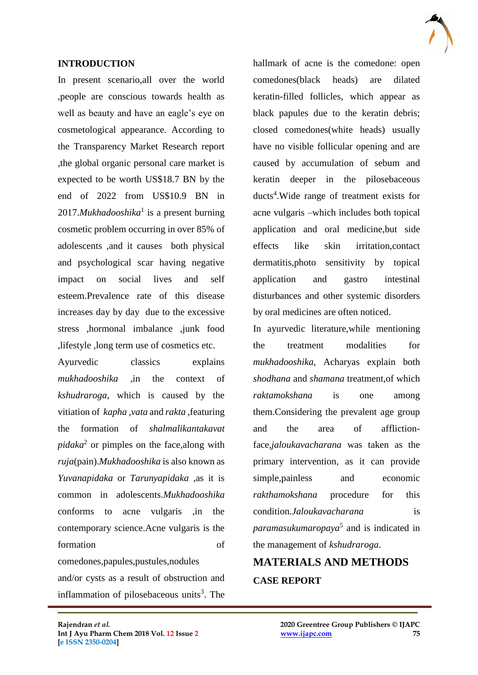

#### **INTRODUCTION**

In present scenario,all over the world ,people are conscious towards health as well as beauty and have an eagle's eye on cosmetological appearance. According to the Transparency Market Research report ,the global organic personal care market is expected to be worth US\$18.7 BN by the end of 2022 from US\$10.9 BN in 2017.*Mukhadooshika*<sup>1</sup> is a present burning cosmetic problem occurring in over 85% of adolescents ,and it causes both physical and psychological scar having negative impact on social lives and self esteem.Prevalence rate of this disease increases day by day due to the excessive stress ,hormonal imbalance ,junk food ,lifestyle ,long term use of cosmetics etc.

Ayurvedic classics explains *mukhadooshika* ,in the context of *kshudraroga*, which is caused by the vitiation of *kapha ,vata* and *rakta* ,featuring the formation of *shalmalikantakavat pidaka*<sup>2</sup> or pimples on the face,along with *ruja*(pain).*Mukhadooshika* is also known as *Yuvanapidaka* or *Tarunyapidaka* ,as it is common in adolescents.*Mukhadooshika* conforms to acne vulgaris ,in the contemporary science.Acne vulgaris is the formation of comedones,papules,pustules,nodules

and/or cysts as a result of obstruction and inflammation of pilosebaceous units<sup>3</sup>. The

 $\mathcal{L}_\mathcal{L}$  , and the contribution of the contribution of the contribution of the contribution of the contribution of the contribution of the contribution of the contribution of the contribution of the contribution of

hallmark of acne is the comedone: open comedones(black heads) are dilated keratin-filled follicles, which appear as black papules due to the keratin debris; closed comedones(white heads) usually have no visible follicular opening and are caused by accumulation of sebum and keratin deeper in the pilosebaceous ducts<sup>4</sup>. Wide range of treatment exists for acne vulgaris –which includes both topical application and oral medicine,but side effects like skin irritation,contact dermatitis,photo sensitivity by topical application and gastro intestinal disturbances and other systemic disorders by oral medicines are often noticed.

In ayurvedic literature,while mentioning the treatment modalities for *mukhadooshika*, Acharyas explain both *shodhana* and *shamana* treatment,of which *raktamokshana* is one among them.Considering the prevalent age group and the area of afflictionface*,jaloukavacharana* was taken as the primary intervention, as it can provide simple,painless and economic *rakthamokshana* procedure for this condition.*Jaloukavacharana* is *paramasukumaropaya*<sup>5</sup> and is indicated in the management of *kshudraroga*.

# **MATERIALS AND METHODS CASE REPORT**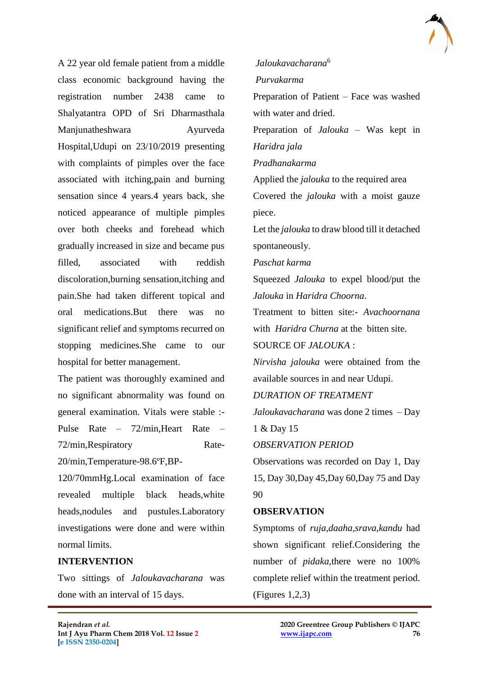

A 22 year old female patient from a middle class economic background having the registration number 2438 came to Shalyatantra OPD of Sri Dharmasthala Manjunatheshwara Ayurveda Hospital,Udupi on 23/10/2019 presenting with complaints of pimples over the face associated with itching,pain and burning sensation since 4 years.4 years back, she noticed appearance of multiple pimples over both cheeks and forehead which gradually increased in size and became pus filled, associated with reddish discoloration,burning sensation,itching and pain.She had taken different topical and oral medications.But there was no significant relief and symptoms recurred on stopping medicines.She came to our hospital for better management.

The patient was thoroughly examined and no significant abnormality was found on general examination. Vitals were stable :- Pulse Rate – 72/min,Heart Rate – 72/min,Respiratory Rate-

20/min,Temperature-98.6ºF,BP-

120/70mmHg.Local examination of face revealed multiple black heads,white heads,nodules and pustules.Laboratory investigations were done and were within normal limits.

### **INTERVENTION**

Two sittings of *Jaloukavacharana* was done with an interval of 15 days.

*Jaloukavacharana*<sup>6</sup> *Purvakarma* 

Preparation of Patient – Face was washed with water and dried.

Preparation of *Jalouka* – Was kept in *Haridra jala*

*Pradhanakarma* 

Applied the *jalouka* to the required area Covered the *jalouka* with a moist gauze piece.

Let the *jalouka* to draw blood till it detached spontaneously.

*Paschat karma* 

Squeezed *Jalouka* to expel blood/put the *Jalouka* in *Haridra Choorna*.

Treatment to bitten site:- *Avachoornana* with *Haridra Churna* at the bitten site.

SOURCE OF *JALOUKA* :

*Nirvisha jalouka* were obtained from the available sources in and near Udupi.

*DURATION OF TREATMENT* 

*Jaloukavacharana* was done 2 times – Day 1 & Day 15

*OBSERVATION PERIOD* 

Observations was recorded on Day 1, Day 15, Day 30,Day 45,Day 60,Day 75 and Day 90

#### **OBSERVATION**

 $\mathcal{L}_\mathcal{L}$  , and the contribution of the contribution of the contribution of the contribution of the contribution of the contribution of the contribution of the contribution of the contribution of the contribution of

Symptoms of *ruja,daaha,srava,kandu* had shown significant relief.Considering the number of *pidaka*,there were no 100% complete relief within the treatment period. (Figures 1,2,3)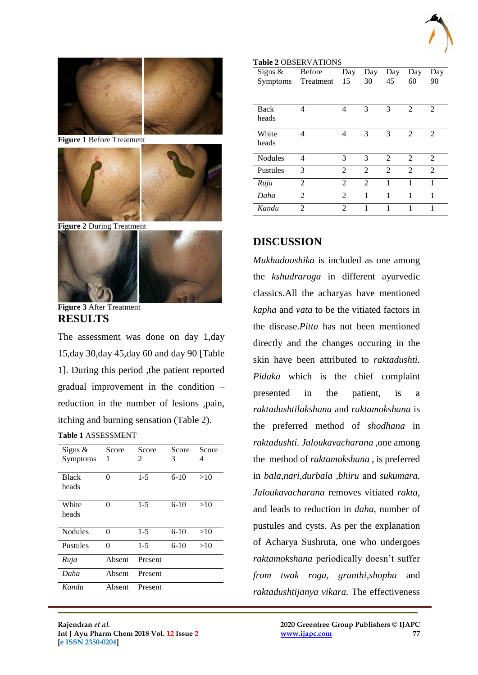



**Figure 3** After Treatment **RESULTS**

The assessment was done on day 1,day 15,day 30,day 45,day 60 and day 90 [Table 1]. During this period ,the patient reported gradual improvement in the condition – reduction in the number of lesions ,pain, itching and burning sensation (Table 2).

**Table 1** ASSESSMENT

| Signs $\&$      | Score<br>1 | Score<br>2 | Score  | Score |  |
|-----------------|------------|------------|--------|-------|--|
| Symptoms        |            |            | 3      | 4     |  |
| <b>Black</b>    | 0          | $1 - 5$    | $6-10$ | >10   |  |
| heads           |            |            |        |       |  |
| White           | 0          | $1 - 5$    | $6-10$ | >10   |  |
| heads           |            |            |        |       |  |
| <b>Nodules</b>  | 0          | $1 - 5$    | $6-10$ | >10   |  |
| <b>Pustules</b> | 0          | $1 - 5$    | $6-10$ | >10   |  |
| Ruja            | Absent     | Present    |        |       |  |
| Daha            | Absent     | Present    |        |       |  |
| Kandu           | Absent     | Present    |        |       |  |

 $\mathcal{L}_\mathcal{L}$  , and the contribution of the contribution of the contribution of the contribution of the contribution of the contribution of the contribution of the contribution of the contribution of the contribution of

| Signs $\&$     | <b>Before</b>  | Day            | Day            | Day            | Day            | Day            |
|----------------|----------------|----------------|----------------|----------------|----------------|----------------|
| Symptoms       | Treatment      | 15             | 30             | 45             | 60             | 90             |
|                |                |                |                |                |                |                |
| Back           | 4              | 4              | 3              | 3              | $\overline{2}$ | 2              |
| heads          |                |                |                |                |                |                |
| White          | 4              | 4              | 3              | 3              | 2              | $\mathfrak{D}$ |
| heads          |                |                |                |                |                |                |
| <b>Nodules</b> | 4              | 3              | 3              | $\mathfrak{D}$ | 2              | $\mathfrak{D}$ |
| Pustules       | 3              | $\mathfrak{D}$ | $\mathfrak{D}$ | $\mathfrak{D}$ | $\mathfrak{D}$ | $\mathfrak{D}$ |
| Ruja           | $\overline{2}$ | $\mathfrak{D}$ | $\mathfrak{D}$ | 1              | 1              | 1              |
| Daha           | $\overline{2}$ | $\overline{2}$ | 1              | 1              | 1              | 1              |
| Kandu          | 2              | $\overline{c}$ |                |                |                | 1              |

### **DISCUSSION**

**Table 2** OBSERVATIONS

*Mukhadooshika* is included as one among the *kshudraroga* in different ayurvedic classics.All the acharyas have mentioned *kapha* and *vata* to be the vitiated factors in the disease.*Pitta* has not been mentioned directly and the changes occuring in the skin have been attributed to *raktadushti. Pidaka* which is the chief complaint presented in the patient, is a *raktadushtilakshana* and *raktamokshana* is the preferred method of *shodhana* in *raktadushti. Jaloukavacharana* ,one among the method of *raktamokshana* , is preferred in *bala,nari,durbala ,bhiru* and *sukumara. Jaloukavacharana* removes vitiated *rakta*, and leads to reduction in *daha*, number of pustules and cysts. As per the explanation of Acharya Sushruta, one who undergoes *raktamokshana* periodically doesn't suffer *from twak roga, granthi,shopha* and *raktadushtijanya vikara.* The effectiveness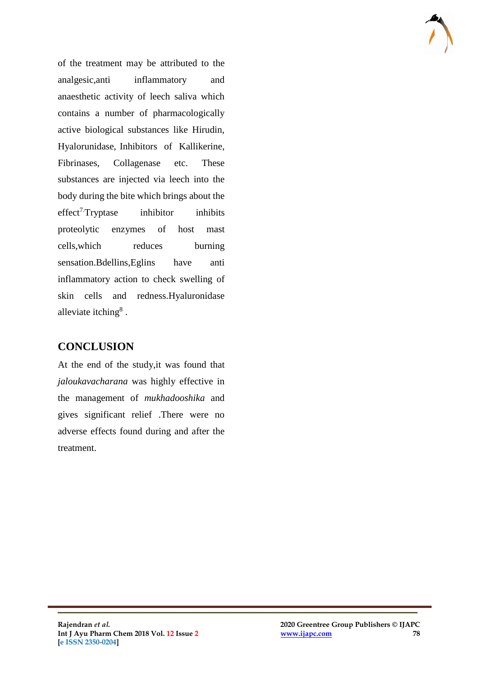of the treatment may be attributed to the analgesic,anti inflammatory and anaesthetic activity of leech saliva which contains a number of pharmacologically active biological substances like Hirudin, Hyalorunidase, Inhibitors of Kallikerine, Fibrinases, Collagenase etc. These substances are injected via leech into the body during the bite which brings about the  $effect<sup>7</sup> Tryptase$  inhibitor inhibits proteolytic enzymes of host mast cells,which reduces burning sensation.Bdellins,Eglins have anti inflammatory action to check swelling of skin cells and redness.Hyaluronidase alleviate itching $<sup>8</sup>$ .</sup>

## **CONCLUSION**

At the end of the study,it was found that *jaloukavacharana* was highly effective in the management of *mukhadooshika* and gives significant relief .There were no adverse effects found during and after the treatment.

 $\mathcal{L}_\mathcal{L}$  , and the contribution of the contribution of the contribution of the contribution of the contribution of the contribution of the contribution of the contribution of the contribution of the contribution of